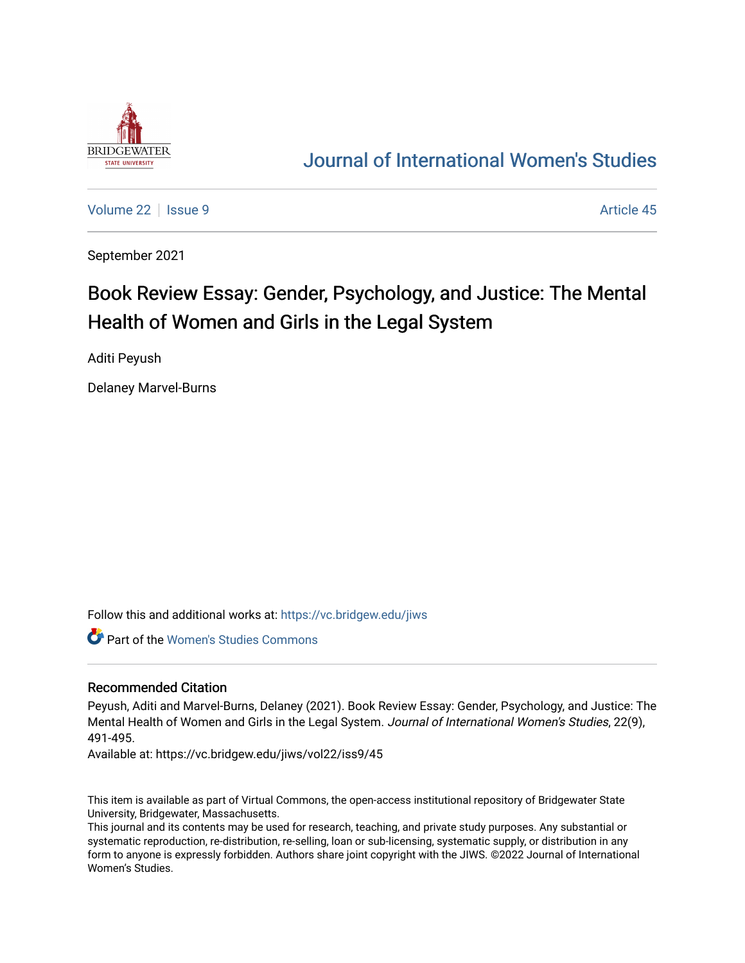

## [Journal of International Women's Studies](https://vc.bridgew.edu/jiws)

[Volume 22](https://vc.bridgew.edu/jiws/vol22) | [Issue 9](https://vc.bridgew.edu/jiws/vol22/iss9) Article 45

September 2021

# Book Review Essay: Gender, Psychology, and Justice: The Mental Health of Women and Girls in the Legal System

Aditi Peyush

Delaney Marvel-Burns

Follow this and additional works at: [https://vc.bridgew.edu/jiws](https://vc.bridgew.edu/jiws?utm_source=vc.bridgew.edu%2Fjiws%2Fvol22%2Fiss9%2F45&utm_medium=PDF&utm_campaign=PDFCoverPages)

Part of the [Women's Studies Commons](http://network.bepress.com/hgg/discipline/561?utm_source=vc.bridgew.edu%2Fjiws%2Fvol22%2Fiss9%2F45&utm_medium=PDF&utm_campaign=PDFCoverPages) 

#### Recommended Citation

Peyush, Aditi and Marvel-Burns, Delaney (2021). Book Review Essay: Gender, Psychology, and Justice: The Mental Health of Women and Girls in the Legal System. Journal of International Women's Studies, 22(9), 491-495.

Available at: https://vc.bridgew.edu/jiws/vol22/iss9/45

This item is available as part of Virtual Commons, the open-access institutional repository of Bridgewater State University, Bridgewater, Massachusetts.

This journal and its contents may be used for research, teaching, and private study purposes. Any substantial or systematic reproduction, re-distribution, re-selling, loan or sub-licensing, systematic supply, or distribution in any form to anyone is expressly forbidden. Authors share joint copyright with the JIWS. ©2022 Journal of International Women's Studies.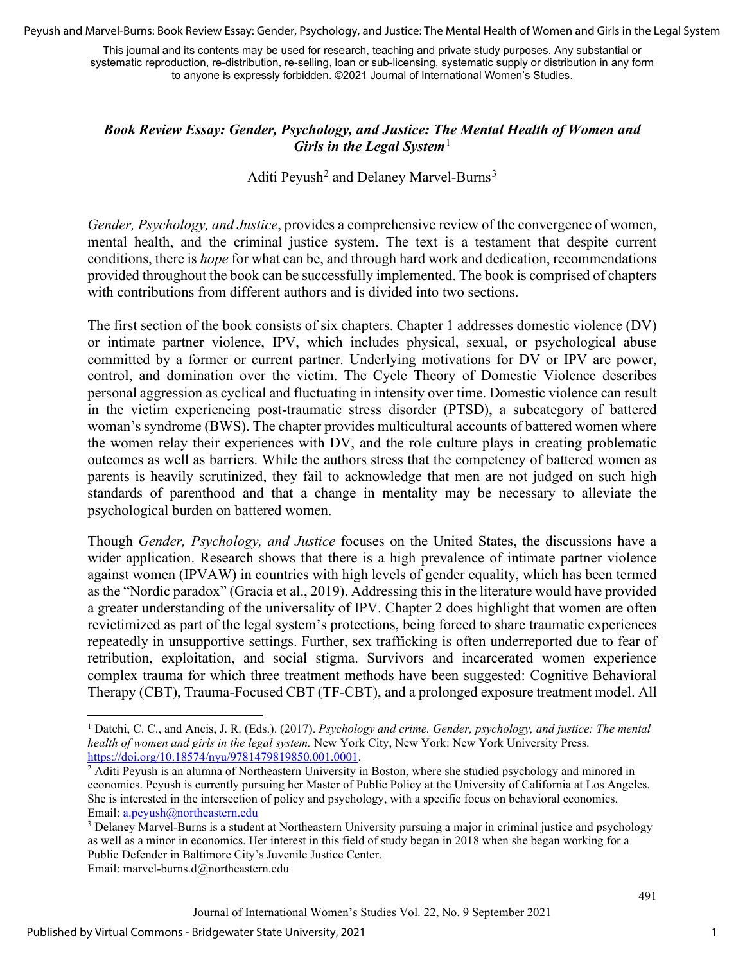Peyush and Marvel-Burns: Book Review Essay: Gender, Psychology, and Justice: The Mental Health of Women and Girls in the Legal System

This journal and its contents may be used for research, teaching and private study purposes. Any substantial or systematic reproduction, re-distribution, re-selling, loan or sub-licensing, systematic supply or distribution in any form to anyone is expressly forbidden. ©2021 Journal of International Women's Studies.

#### *Book Review Essay: Gender, Psychology, and Justice: The Mental Health of Women and Girls in the Legal System*<sup>[1](#page-1-0)</sup>

### Aditi Peyush<sup>[2](#page-1-1)</sup> and Delaney Marvel-Burns<sup>[3](#page-1-2)</sup>

*Gender, Psychology, and Justice*, provides a comprehensive review of the convergence of women, mental health, and the criminal justice system. The text is a testament that despite current conditions, there is *hope* for what can be, and through hard work and dedication, recommendations provided throughout the book can be successfully implemented. The book is comprised of chapters with contributions from different authors and is divided into two sections.

The first section of the book consists of six chapters. Chapter 1 addresses domestic violence (DV) or intimate partner violence, IPV, which includes physical, sexual, or psychological abuse committed by a former or current partner. Underlying motivations for DV or IPV are power, control, and domination over the victim. The Cycle Theory of Domestic Violence describes personal aggression as cyclical and fluctuating in intensity over time. Domestic violence can result in the victim experiencing post-traumatic stress disorder (PTSD), a subcategory of battered woman's syndrome (BWS). The chapter provides multicultural accounts of battered women where the women relay their experiences with DV, and the role culture plays in creating problematic outcomes as well as barriers. While the authors stress that the competency of battered women as parents is heavily scrutinized, they fail to acknowledge that men are not judged on such high standards of parenthood and that a change in mentality may be necessary to alleviate the psychological burden on battered women.

Though *Gender, Psychology, and Justice* focuses on the United States, the discussions have a wider application. Research shows that there is a high prevalence of intimate partner violence against women (IPVAW) in countries with high levels of gender equality, which has been termed as the "Nordic paradox" (Gracia et al., 2019). Addressing this in the literature would have provided a greater understanding of the universality of IPV. Chapter 2 does highlight that women are often revictimized as part of the legal system's protections, being forced to share traumatic experiences repeatedly in unsupportive settings. Further, sex trafficking is often underreported due to fear of retribution, exploitation, and social stigma. Survivors and incarcerated women experience complex trauma for which three treatment methods have been suggested: Cognitive Behavioral Therapy (CBT), Trauma-Focused CBT (TF-CBT), and a prolonged exposure treatment model. All

1

<span id="page-1-0"></span><sup>1</sup> Datchi, C. C., and Ancis, J. R. (Eds.). (2017). *Psychology and crime. Gender, psychology, and justice: The mental health of women and girls in the legal system.* New York City, New York: New York University Pres[s.](https://doi.org/10.18574/nyu/9781479819850.001.0001)

<span id="page-1-1"></span> $h^2$  Aditi Peyush is an alumna of Northeastern University in Boston, where she studied psychology and minored in economics. Peyush is currently pursuing her Master of Public Policy at the University of California at Los Angeles. She is interested in the intersection of policy and psychology, with a specific focus on behavioral economics. Email: [a.peyush@northeastern.edu](mailto:a.peyush@northeastern.edu)

<span id="page-1-2"></span><sup>&</sup>lt;sup>3</sup> Delaney Marvel-Burns is a student at Northeastern University pursuing a major in criminal justice and psychology as well as a minor in economics. Her interest in this field of study began in 2018 when she began working for a Public Defender in Baltimore City's Juvenile Justice Center.

Email: marvel-burns.d@northeastern.edu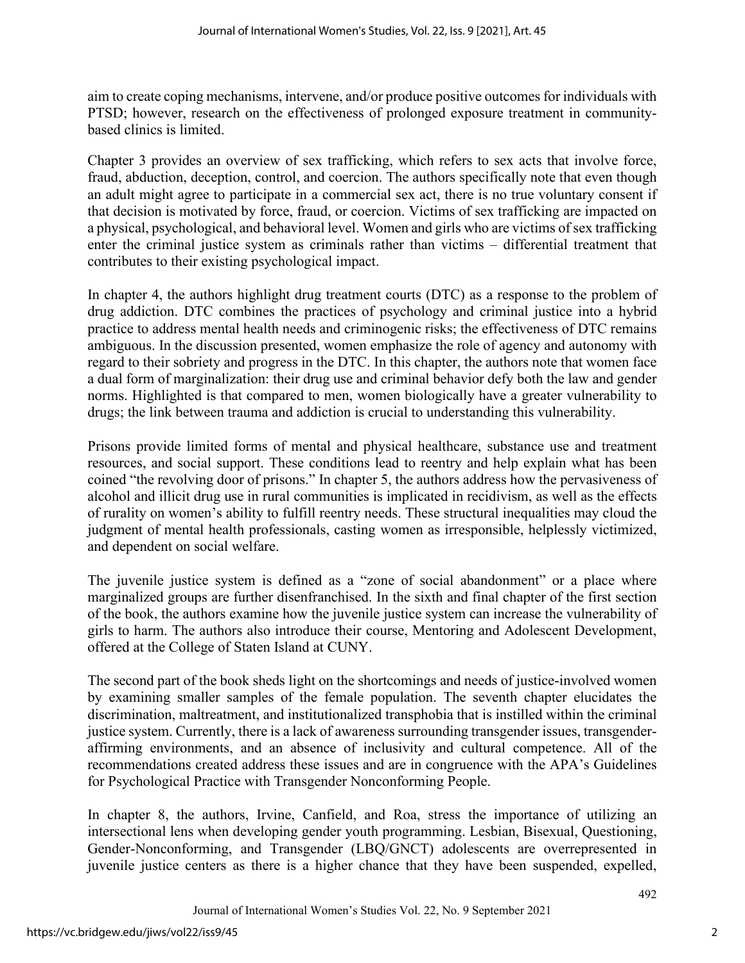aim to create coping mechanisms, intervene, and/or produce positive outcomes for individuals with PTSD; however, research on the effectiveness of prolonged exposure treatment in communitybased clinics is limited.

Chapter 3 provides an overview of sex trafficking, which refers to sex acts that involve force, fraud, abduction, deception, control, and coercion. The authors specifically note that even though an adult might agree to participate in a commercial sex act, there is no true voluntary consent if that decision is motivated by force, fraud, or coercion. Victims of sex trafficking are impacted on a physical, psychological, and behavioral level. Women and girls who are victims of sex trafficking enter the criminal justice system as criminals rather than victims – differential treatment that contributes to their existing psychological impact.

In chapter 4, the authors highlight drug treatment courts (DTC) as a response to the problem of drug addiction. DTC combines the practices of psychology and criminal justice into a hybrid practice to address mental health needs and criminogenic risks; the effectiveness of DTC remains ambiguous. In the discussion presented, women emphasize the role of agency and autonomy with regard to their sobriety and progress in the DTC. In this chapter, the authors note that women face a dual form of marginalization: their drug use and criminal behavior defy both the law and gender norms. Highlighted is that compared to men, women biologically have a greater vulnerability to drugs; the link between trauma and addiction is crucial to understanding this vulnerability.

Prisons provide limited forms of mental and physical healthcare, substance use and treatment resources, and social support. These conditions lead to reentry and help explain what has been coined "the revolving door of prisons." In chapter 5, the authors address how the pervasiveness of alcohol and illicit drug use in rural communities is implicated in recidivism, as well as the effects of rurality on women's ability to fulfill reentry needs. These structural inequalities may cloud the judgment of mental health professionals, casting women as irresponsible, helplessly victimized, and dependent on social welfare.

The juvenile justice system is defined as a "zone of social abandonment" or a place where marginalized groups are further disenfranchised. In the sixth and final chapter of the first section of the book, the authors examine how the juvenile justice system can increase the vulnerability of girls to harm. The authors also introduce their course, Mentoring and Adolescent Development, offered at the College of Staten Island at CUNY.

The second part of the book sheds light on the shortcomings and needs of justice-involved women by examining smaller samples of the female population. The seventh chapter elucidates the discrimination, maltreatment, and institutionalized transphobia that is instilled within the criminal justice system. Currently, there is a lack of awareness surrounding transgender issues, transgenderaffirming environments, and an absence of inclusivity and cultural competence. All of the recommendations created address these issues and are in congruence with the APA's Guidelines for Psychological Practice with Transgender Nonconforming People.

In chapter 8, the authors, Irvine, Canfield, and Roa, stress the importance of utilizing an intersectional lens when developing gender youth programming. Lesbian, Bisexual, Questioning, Gender-Nonconforming, and Transgender (LBQ/GNCT) adolescents are overrepresented in juvenile justice centers as there is a higher chance that they have been suspended, expelled,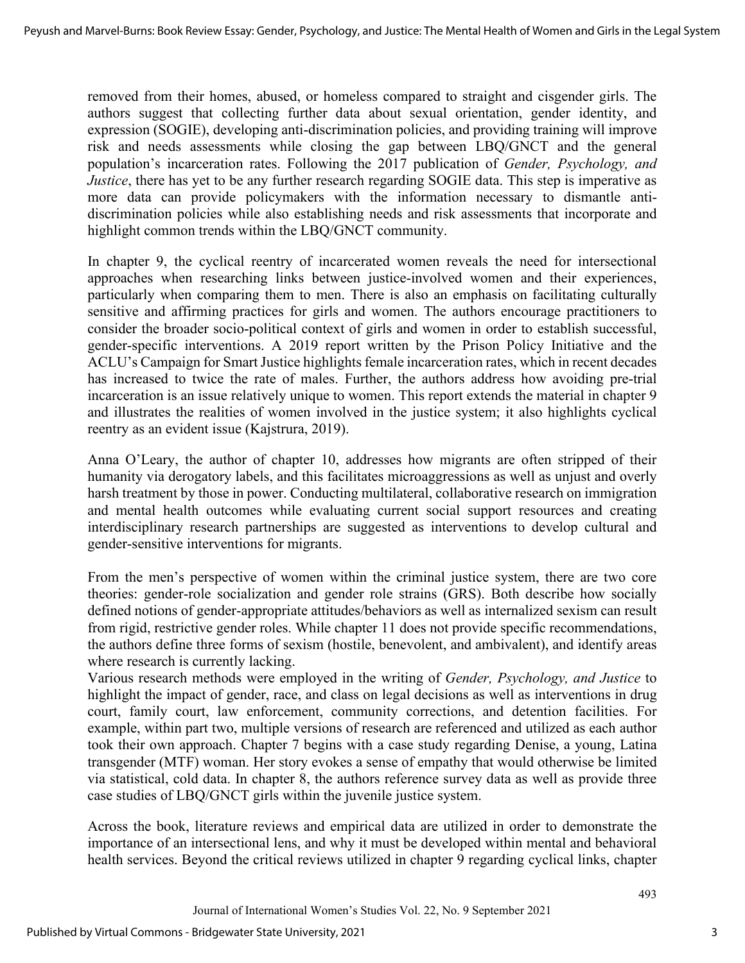removed from their homes, abused, or homeless compared to straight and cisgender girls. The authors suggest that collecting further data about sexual orientation, gender identity, and expression (SOGIE), developing anti-discrimination policies, and providing training will improve risk and needs assessments while closing the gap between LBQ/GNCT and the general population's incarceration rates. Following the 2017 publication of *Gender, Psychology, and Justice*, there has yet to be any further research regarding SOGIE data. This step is imperative as more data can provide policymakers with the information necessary to dismantle antidiscrimination policies while also establishing needs and risk assessments that incorporate and highlight common trends within the LBQ/GNCT community.

In chapter 9, the cyclical reentry of incarcerated women reveals the need for intersectional approaches when researching links between justice-involved women and their experiences, particularly when comparing them to men. There is also an emphasis on facilitating culturally sensitive and affirming practices for girls and women. The authors encourage practitioners to consider the broader socio-political context of girls and women in order to establish successful, gender-specific interventions. A 2019 report written by the Prison Policy Initiative and the ACLU's Campaign for Smart Justice highlights female incarceration rates, which in recent decades has increased to twice the rate of males. Further, the authors address how avoiding pre-trial incarceration is an issue relatively unique to women. This report extends the material in chapter 9 and illustrates the realities of women involved in the justice system; it also highlights cyclical reentry as an evident issue (Kajstrura, 2019).

Anna O'Leary, the author of chapter 10, addresses how migrants are often stripped of their humanity via derogatory labels, and this facilitates microaggressions as well as unjust and overly harsh treatment by those in power. Conducting multilateral, collaborative research on immigration and mental health outcomes while evaluating current social support resources and creating interdisciplinary research partnerships are suggested as interventions to develop cultural and gender-sensitive interventions for migrants.

From the men's perspective of women within the criminal justice system, there are two core theories: gender-role socialization and gender role strains (GRS). Both describe how socially defined notions of gender-appropriate attitudes/behaviors as well as internalized sexism can result from rigid, restrictive gender roles. While chapter 11 does not provide specific recommendations, the authors define three forms of sexism (hostile, benevolent, and ambivalent), and identify areas where research is currently lacking.

Various research methods were employed in the writing of *Gender, Psychology, and Justice* to highlight the impact of gender, race, and class on legal decisions as well as interventions in drug court, family court, law enforcement, community corrections, and detention facilities. For example, within part two, multiple versions of research are referenced and utilized as each author took their own approach. Chapter 7 begins with a case study regarding Denise, a young, Latina transgender (MTF) woman. Her story evokes a sense of empathy that would otherwise be limited via statistical, cold data. In chapter 8, the authors reference survey data as well as provide three case studies of LBQ/GNCT girls within the juvenile justice system.

Across the book, literature reviews and empirical data are utilized in order to demonstrate the importance of an intersectional lens, and why it must be developed within mental and behavioral health services. Beyond the critical reviews utilized in chapter 9 regarding cyclical links, chapter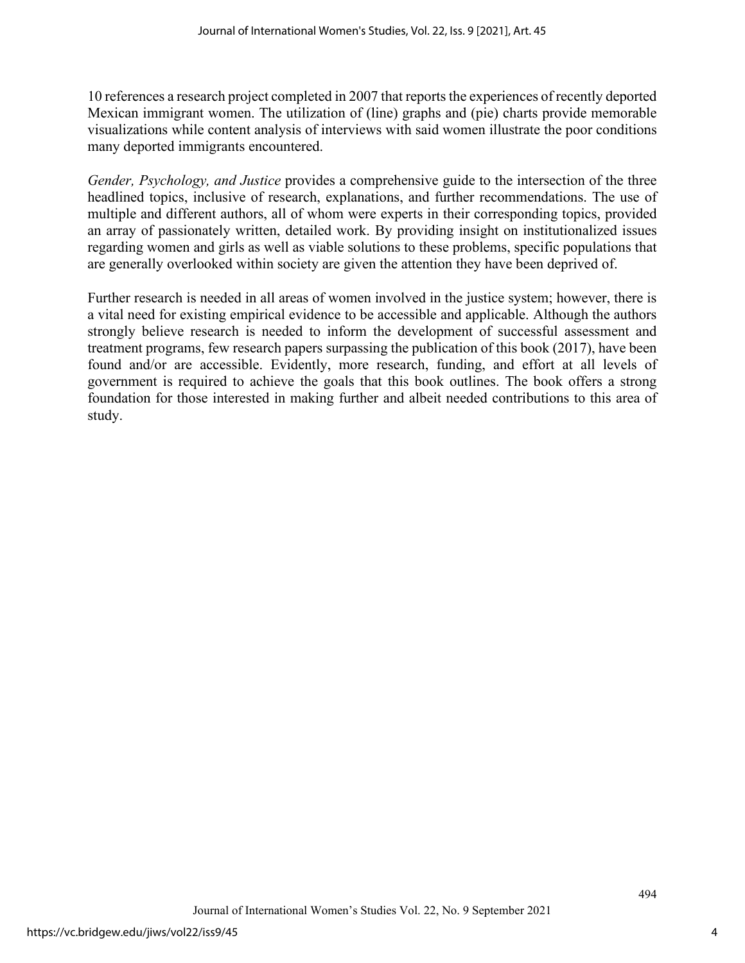10 references a research project completed in 2007 that reports the experiences of recently deported Mexican immigrant women. The utilization of (line) graphs and (pie) charts provide memorable visualizations while content analysis of interviews with said women illustrate the poor conditions many deported immigrants encountered.

*Gender, Psychology, and Justice* provides a comprehensive guide to the intersection of the three headlined topics, inclusive of research, explanations, and further recommendations. The use of multiple and different authors, all of whom were experts in their corresponding topics, provided an array of passionately written, detailed work. By providing insight on institutionalized issues regarding women and girls as well as viable solutions to these problems, specific populations that are generally overlooked within society are given the attention they have been deprived of.

Further research is needed in all areas of women involved in the justice system; however, there is a vital need for existing empirical evidence to be accessible and applicable. Although the authors strongly believe research is needed to inform the development of successful assessment and treatment programs, few research papers surpassing the publication of this book (2017), have been found and/or are accessible. Evidently, more research, funding, and effort at all levels of government is required to achieve the goals that this book outlines. The book offers a strong foundation for those interested in making further and albeit needed contributions to this area of study.